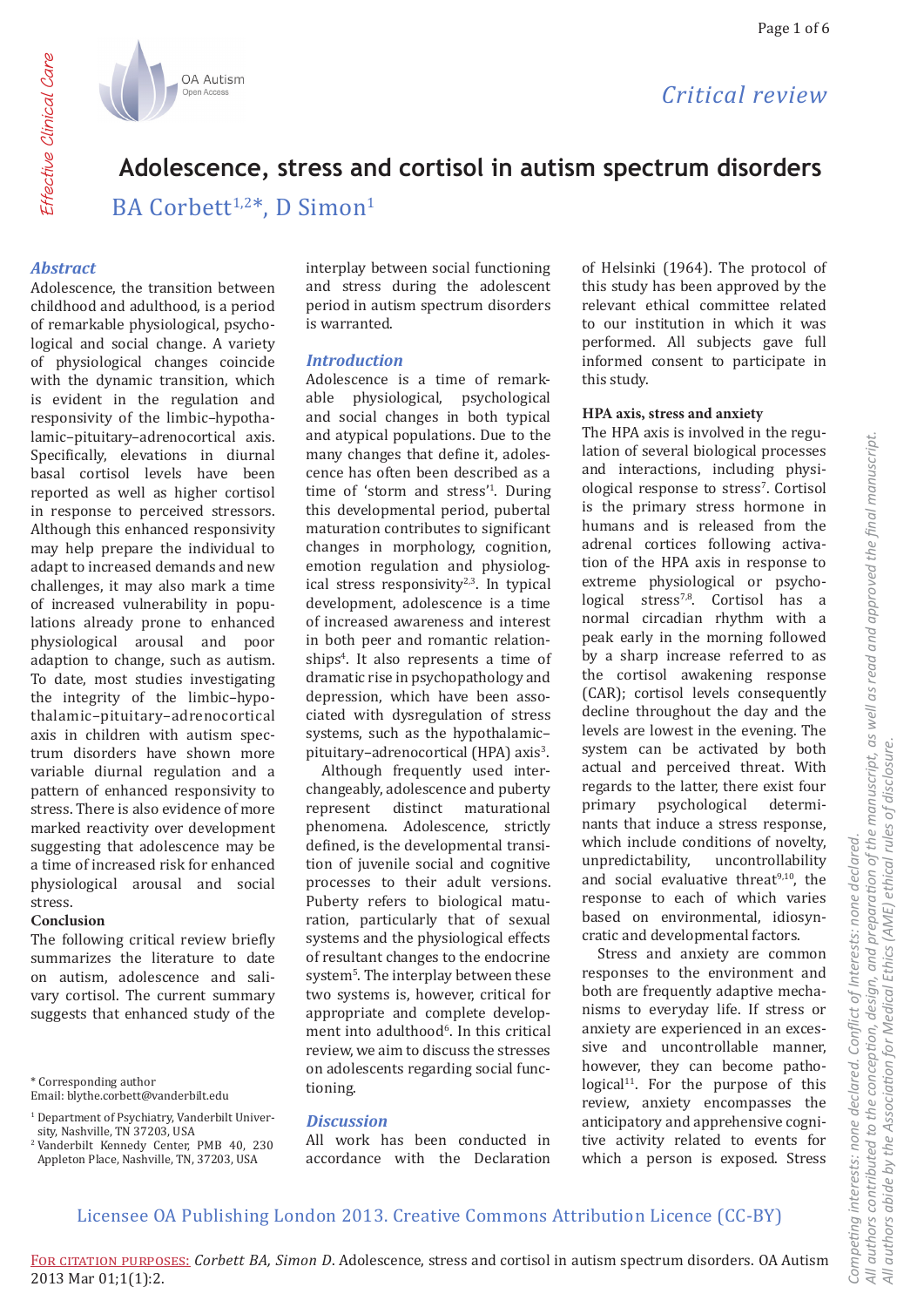

# Adolescence, stress and cortisol in autism spectrum disorders

BA Corbett<sup>1,2\*</sup>, D Simon<sup>1</sup>

## **Abstract**

Effective Clinical Care

Adolescence, the transition between childhood and adulthood, is a period of remarkable physiological, psychological and social change. A variety of physiological changes coincide with the dynamic transition, which is evident in the regulation and responsivity of the limbic-hypothalamic-pituitary-adrenocortical axis. Specifically, elevations in diurnal basal cortisol levels have been reported as well as higher cortisol in response to perceived stressors. Although this enhanced responsivity may help prepare the individual to adapt to increased demands and new challenges, it may also mark a time of increased vulnerability in populations already prone to enhanced physiological arousal and poor adaption to change, such as autism. To date, most studies investigating the integrity of the limbic-hypothalamic-pituitary-adrenocortical axis in children with autism spectrum disorders have shown more variable diurnal regulation and a pattern of enhanced responsivity to stress. There is also evidence of more marked reactivity over development suggesting that adolescence may be a time of increased risk for enhanced physiological arousal and social stress.

#### Conclusion

The following critical review briefly summarizes the literature to date on autism, adolescence and salivary cortisol. The current summary suggests that enhanced study of the

\* Corresponding author

Email: blythe.corbett@vanderbilt.edu

<sup>2</sup> Vanderbilt Kennedy Center, PMB 40, 230 Appleton Place, Nashville, TN, 37203, USA

interplay between social functioning and stress during the adolescent period in autism spectrum disorders is warranted.

## **Introduction**

Adolescence is a time of remarkable physiological, psychological and social changes in both typical and atypical populations. Due to the many changes that define it, adolescence has often been described as a time of 'storm and stress'<sup>1</sup>. During this developmental period, pubertal maturation contributes to significant changes in morphology, cognition, emotion regulation and physiological stress responsivity<sup>2,3</sup>. In typical development, adolescence is a time of increased awareness and interest in both peer and romantic relationships<sup>4</sup>. It also represents a time of dramatic rise in psychopathology and depression, which have been associated with dysregulation of stress systems, such as the hypothalamicpituitary-adrenocortical (HPA) axis<sup>3</sup>.

Although frequently used interchangeably, adolescence and puberty represent distinct maturational phenomena. Adolescence, strictly defined, is the developmental transition of juvenile social and cognitive processes to their adult versions. Puberty refers to biological maturation, particularly that of sexual systems and the physiological effects of resultant changes to the endocrine system<sup>5</sup>. The interplay between these two systems is, however, critical for appropriate and complete development into adulthood<sup>6</sup>. In this critical review, we aim to discuss the stresses on adolescents regarding social functioning.

## **Discussion**

All work has been conducted in accordance with the Declaration of Helsinki (1964). The protocol of this study has been approved by the relevant ethical committee related to our institution in which it was performed. All subjects gave full informed consent to participate in this study.

### HPA axis, stress and anxiety

The HPA axis is involved in the regulation of several biological processes and interactions, including physiological response to stress<sup>7</sup>. Cortisol is the primary stress hormone in humans and is released from the adrenal cortices following activation of the HPA axis in response to extreme physiological or psychological stress<sup>7,8</sup>. Cortisol has a normal circadian rhythm with a peak early in the morning followed by a sharp increase referred to as the cortisol awakening response (CAR); cortisol levels consequently decline throughout the day and the levels are lowest in the evening. The system can be activated by both actual and perceived threat. With regards to the latter, there exist four primary psychological determinants that induce a stress response, which include conditions of novelty. unpredictability. uncontrollability and social evaluative threat<sup>9,10</sup>, the response to each of which varies based on environmental, idiosyncratic and developmental factors.

Stress and anxiety are common responses to the environment and both are frequently adaptive mechanisms to everyday life. If stress or anxiety are experienced in an excessive and uncontrollable manner. however, they can become patho $logical<sup>11</sup>$ . For the purpose of this review, anxiety encompasses the anticipatory and apprehensive cognitive activity related to events for which a person is exposed. Stress

<sup>&</sup>lt;sup>1</sup> Department of Psychiatry, Vanderbilt University, Nashville, TN 37203, USA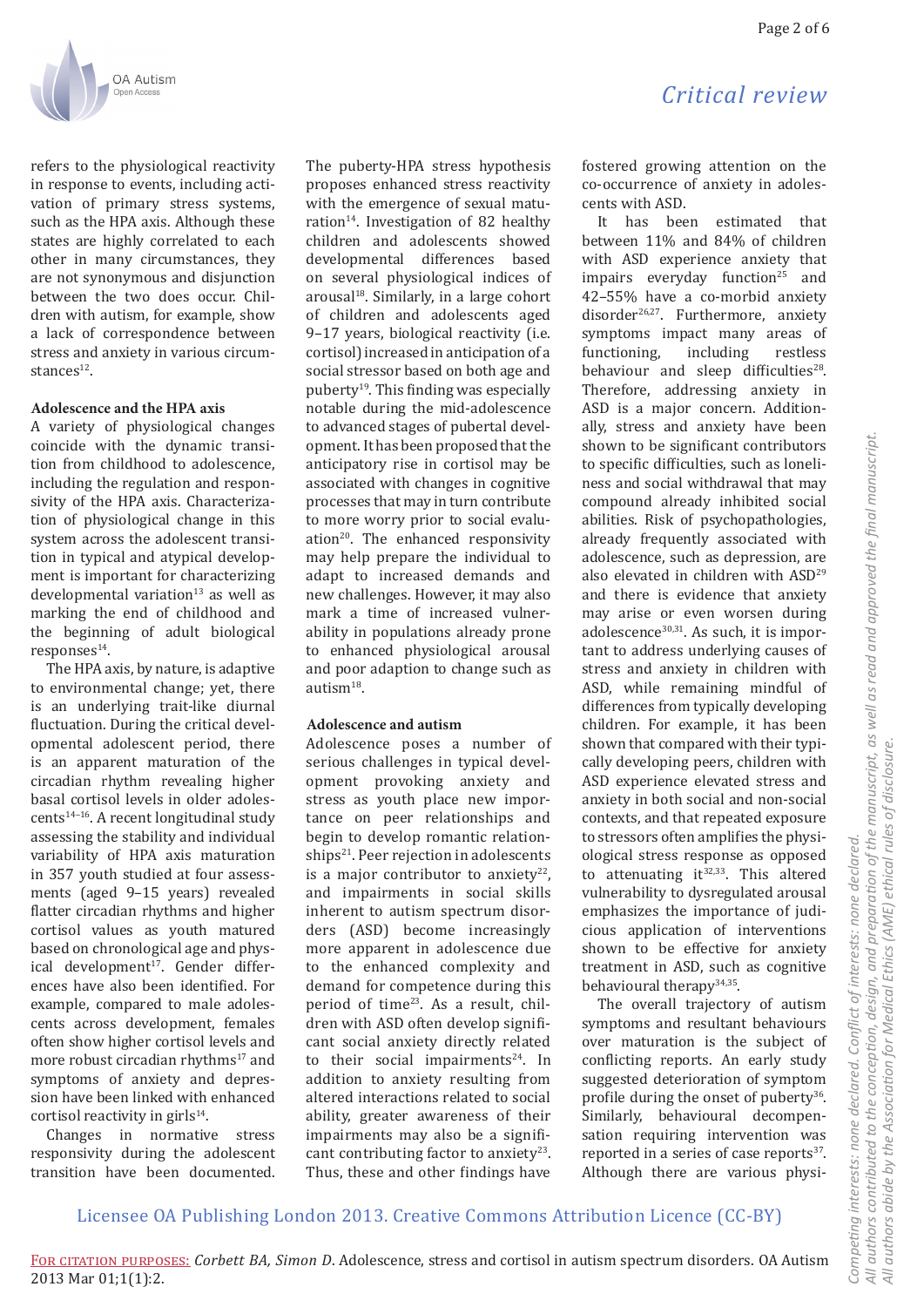refers to the physiological reactivity in response to events, including activation of primary stress systems, such as the HPA axis. Although these states are highly correlated to each other in many circumstances, they are not synonymous and disjunction between the two does occur. Children with autism, for example, show a lack of correspondence between stress and anxiety in various circumstances<sup>12</sup>.

### **Adolescence and the HPA axis**

A variety of physiological changes coincide with the dynamic transition from childhood to adolescence, including the regulation and responsivity of the HPA axis. Characterization of physiological change in this system across the adolescent transition in typical and atypical development is important for characterizing developmental variation<sup>13</sup> as well as marking the end of childhood and the beginning of adult biological  $responents<sup>14</sup>$ .

The HPA axis, by nature, is adaptive to environmental change; yet, there is an underlying trait-like diurnal fluctuation. During the critical developmental adolescent period, there is an apparent maturation of the circadian rhythm revealing higher basal cortisol levels in older adolescents14–16. A recent longitudinal study assessing the stability and individual variability of HPA axis maturation in 357 youth studied at four assessments (aged 9–15 years) revealed flatter circadian rhythms and higher cortisol values as youth matured based on chronological age and physical development<sup>17</sup>. Gender differences have also been identified. For example, compared to male adolescents across development, females often show higher cortisol levels and more robust circadian rhythms<sup>17</sup> and symptoms of anxiety and depression have been linked with enhanced cortisol reactivity in girls $14$ .

Changes in normative stress responsivity during the adolescent transition have been documented.

The puberty-HPA stress hypothesis proposes enhanced stress reactivity with the emergence of sexual maturation<sup>14</sup>. Investigation of 82 healthy children and adolescents showed developmental differences based on several physiological indices of arousal<sup>18</sup>. Similarly, in a large cohort of children and adolescents aged 9–17 years, biological reactivity (i.e. cortisol) increased in anticipation of a social stressor based on both age and puberty19. This finding was especially notable during the mid-adolescence to advanced stages of pubertal development. It has been proposed that the anticipatory rise in cortisol may be associated with changes in cognitive processes that may in turn contribute to more worry prior to social evaluation<sup>20</sup>. The enhanced responsivity may help prepare the individual to adapt to increased demands and new challenges. However, it may also mark a time of increased vulnerability in populations already prone to enhanced physiological arousal and poor adaption to change such as autism<sup>18</sup>.

## **Adolescence and autism**

Adolescence poses a number of serious challenges in typical development provoking anxiety and stress as youth place new importance on peer relationships and begin to develop romantic relationships<sup>21</sup>. Peer rejection in adolescents is a major contributor to anxiety $22$ , and impairments in social skills inherent to autism spectrum disorders (ASD) become increasingly more apparent in adolescence due to the enhanced complexity and demand for competence during this period of time<sup>23</sup>. As a result, children with ASD often develop significant social anxiety directly related to their social impairments $24$ . In addition to anxiety resulting from altered interactions related to social ability, greater awareness of their impairments may also be a significant contributing factor to anxiety<sup>23</sup>. Thus, these and other findings have

Page 2 of 6

fostered growing attention on the co-occurrence of anxiety in adolescents with ASD.

It has been estimated that between 11% and 84% of children with ASD experience anxiety that impairs everyday function $25$  and 42–55% have a co-morbid anxiety disorder<sup>26,27</sup>. Furthermore, anxiety symptoms impact many areas of functioning, including restless behaviour and sleep difficulties<sup>28</sup>. Therefore, addressing anxiety in ASD is a major concern. Additionally, stress and anxiety have been shown to be significant contributors to specific difficulties, such as loneliness and social withdrawal that may compound already inhibited social abilities. Risk of psychopathologies, already frequently associated with adolescence, such as depression, are also elevated in children with ASD29 and there is evidence that anxiety may arise or even worsen during adolescence $30,31$ . As such, it is important to address underlying causes of stress and anxiety in children with ASD, while remaining mindful of differences from typically developing children. For example, it has been shown that compared with their typically developing peers, children with ASD experience elevated stress and anxiety in both social and non-social contexts, and that repeated exposure to stressors often amplifies the physiological stress response as opposed to attenuating  $it^{32,33}$ . This altered vulnerability to dysregulated arousal emphasizes the importance of judicious application of interventions shown to be effective for anxiety treatment in ASD, such as cognitive behavioural therapy34,35.

The overall trajectory of autism symptoms and resultant behaviours over maturation is the subject of conflicting reports. An early study suggested deterioration of symptom profile during the onset of puberty<sup>36</sup>. Similarly, behavioural decompensation requiring intervention was reported in a series of case reports<sup>37</sup>. Although there are various physi-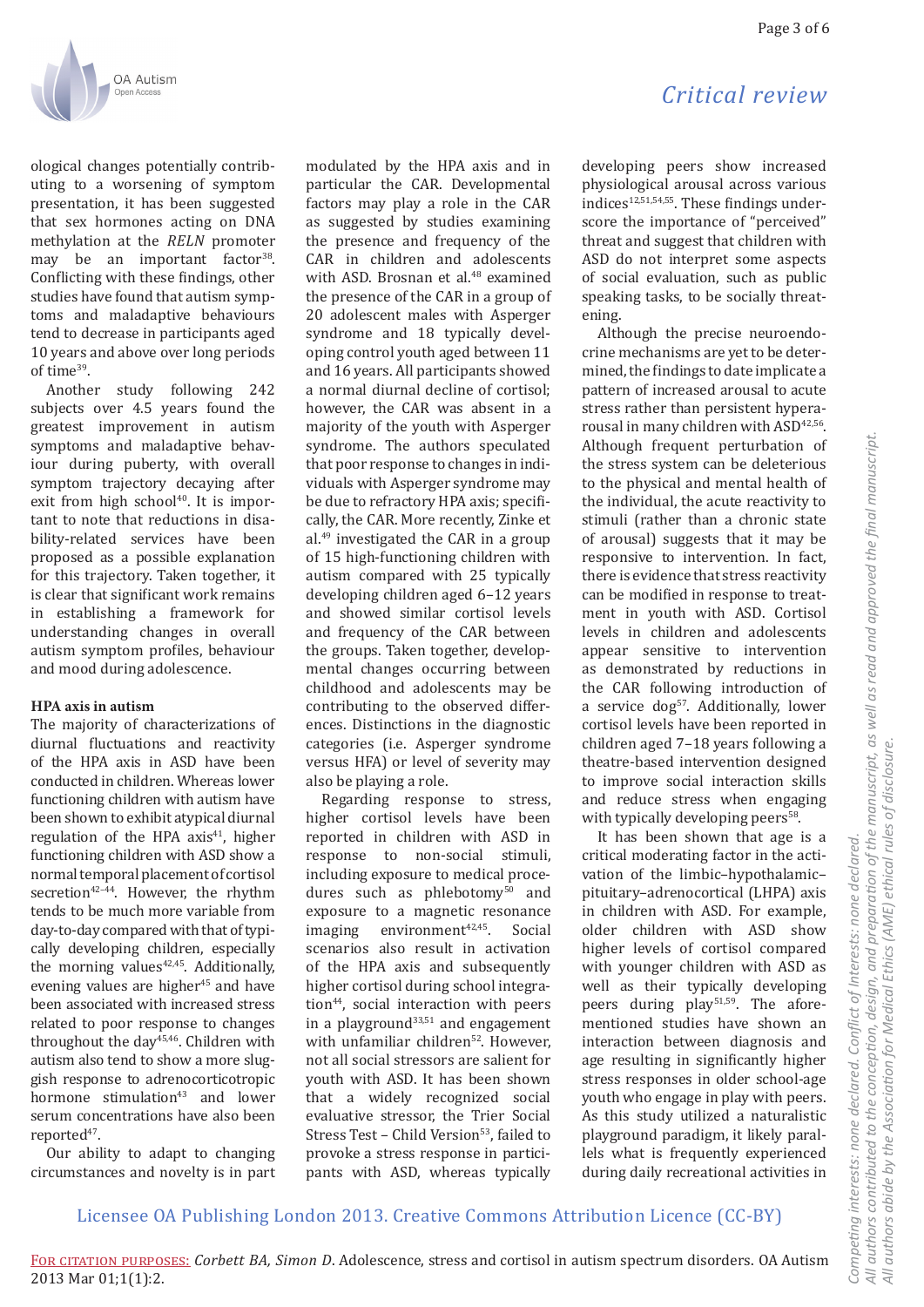

ological changes potentially contributing to a worsening of symptom presentation, it has been suggested that sex hormones acting on DNA methylation at the RELN promoter may be an important factor<sup>38</sup>. Conflicting with these findings, other studies have found that autism symptoms and maladaptive behaviours tend to decrease in participants aged 10 years and above over long periods of time<sup>39</sup>.

Another study following 242 subjects over 4.5 years found the greatest improvement in autism symptoms and maladaptive behaviour during puberty, with overall symptom trajectory decaying after exit from high school<sup>40</sup>. It is imnortant to note that reductions in disability-related services have been proposed as a possible explanation for this trajectory. Taken together, it is clear that significant work remains in establishing a framework for understanding changes in overall autism symptom profiles, behaviour and mood during adolescence.

## HPA axis in autism

The majority of characterizations of diurnal fluctuations and reactivity of the HPA axis in ASD have been conducted in children. Whereas lower functioning children with autism have been shown to exhibit atypical diurnal regulation of the HPA axis<sup>41</sup>, higher functioning children with ASD show a normal temporal placement of cortisol secretion<sup>42-44</sup>. However, the rhythm tends to be much more variable from day-to-day compared with that of typically developing children, especially the morning values<sup>42,45</sup>. Additionally, evening values are higher<sup>45</sup> and have been associated with increased stress related to poor response to changes throughout the day<sup>45,46</sup>. Children with autism also tend to show a more sluggish response to adrenocorticotropic hormone stimulation<sup>43</sup> and lower serum concentrations have also been reported<sup>47</sup>.

Our ability to adapt to changing circumstances and novelty is in part

modulated by the HPA axis and in particular the CAR. Developmental factors may play a role in the CAR as suggested by studies examining the presence and frequency of the CAR in children and adolescents with ASD. Brosnan et al.<sup>48</sup> examined the presence of the CAR in a group of 20 adolescent males with Asperger syndrome and 18 typically developing control youth aged between 11 and 16 years. All participants showed a normal diurnal decline of cortisol: however, the CAR was absent in a maiority of the youth with Asperger syndrome. The authors speculated that poor response to changes in individuals with Asperger syndrome may be due to refractory HPA axis; specifically, the CAR. More recently, Zinke et al.<sup>49</sup> investigated the CAR in a group of 15 high-functioning children with autism compared with 25 typically developing children aged 6-12 years and showed similar cortisol levels and frequency of the CAR between the groups. Taken together, developmental changes occurring between childhood and adolescents may be contributing to the observed differences. Distinctions in the diagnostic categories (i.e. Asperger syndrome versus HFA) or level of severity may also be plaving a role.

Regarding response to stress, higher cortisol levels have been reported in children with ASD in response to non-social stimuli, including exposure to medical procedures such as phlebotomy<sup>50</sup> and exposure to a magnetic resonance  $environment^{42,45}$ imaging Social scenarios also result in activation of the HPA axis and subsequently higher cortisol during school integration<sup>44</sup>, social interaction with peers in a playground<sup>33,51</sup> and engagement with unfamiliar children<sup>52</sup>. However. not all social stressors are salient for youth with ASD. It has been shown that a widely recognized social evaluative stressor, the Trier Social Stress Test - Child Version<sup>53</sup>, failed to provoke a stress response in participants with ASD, whereas typically

# Critical review

developing peers show increased physiological arousal across various indices<sup>12,51,54,55</sup>. These findings underscore the importance of "perceived" threat and suggest that children with ASD do not interpret some aspects of social evaluation, such as public speaking tasks, to be socially threatening.

Although the precise neuroendocrine mechanisms are yet to be determined, the findings to date implicate a pattern of increased arousal to acute stress rather than persistent hyperarousal in many children with ASD<sup>42,56</sup>. Although frequent perturbation of the stress system can be deleterious to the physical and mental health of the individual, the acute reactivity to stimuli (rather than a chronic state of arousal) suggests that it may be responsive to intervention. In fact, there is evidence that stress reactivity can be modified in response to treatment in youth with ASD. Cortisol levels in children and adolescents appear sensitive to intervention as demonstrated by reductions in the CAR following introduction of a service dog<sup>57</sup>. Additionally, lower cortisol levels have been reported in children aged 7-18 years following a theatre-based intervention designed to improve social interaction skills and reduce stress when engaging with typically developing peers<sup>58</sup>.

It has been shown that age is a critical moderating factor in the activation of the limbic-hypothalamicpituitary-adrenocortical (LHPA) axis in children with ASD. For example. older children with ASD show higher levels of cortisol compared with vounger children with ASD as well as their typically developing peers during play<sup>51,59</sup>. The aforementioned studies have shown an interaction between diagnosis and age resulting in significantly higher stress responses in older school-age vouth who engage in play with peers. As this study utilized a naturalistic playground paradigm, it likely parallels what is frequently experienced during daily recreational activities in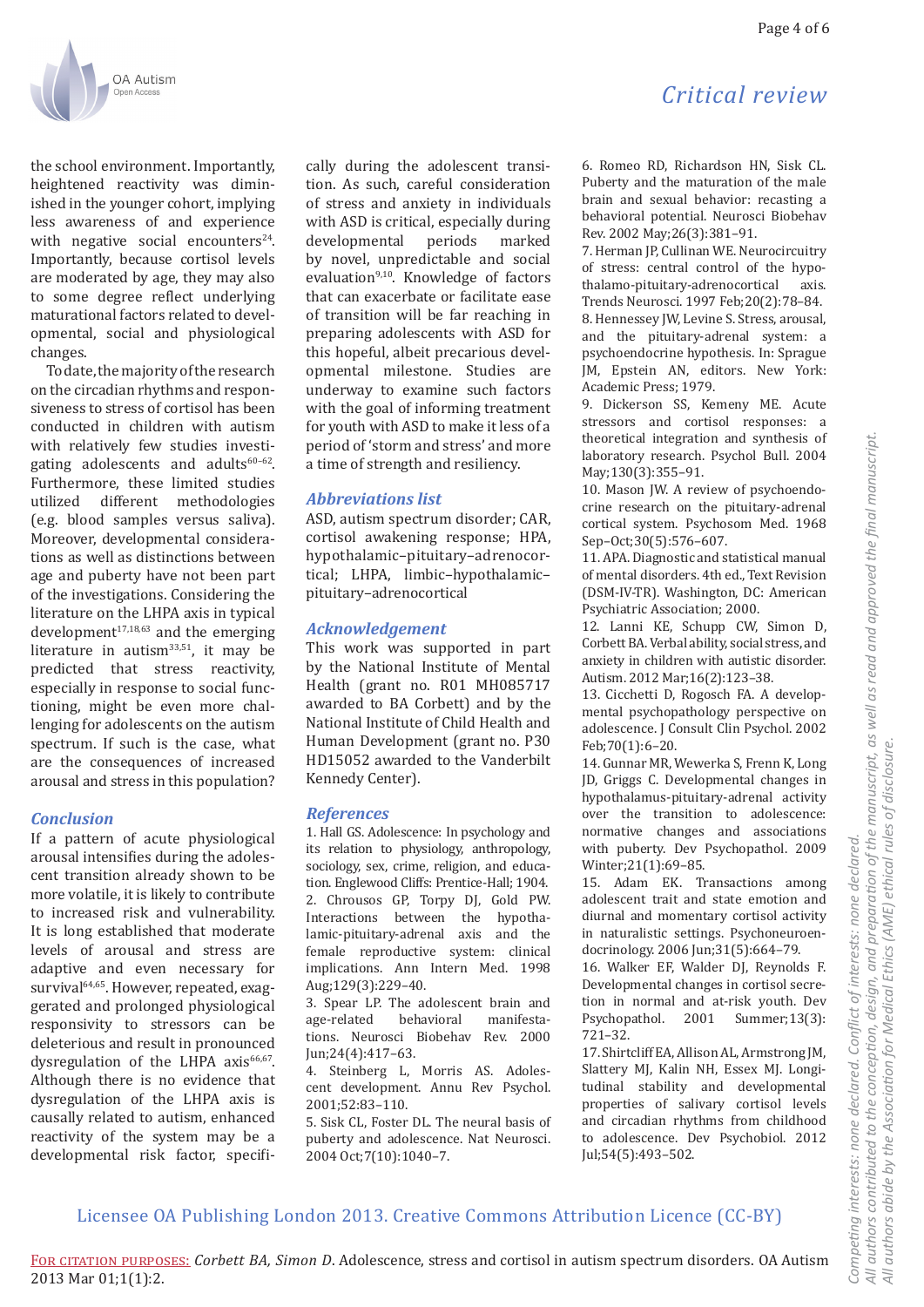

the school environment. Importantly, heightened reactivity was diminished in the younger cohort, implying less awareness of and experience with negative social encounters<sup>24</sup>. Importantly, because cortisol levels are moderated by age, they may also to some degree reflect underlying maturational factors related to developmental, social and physiological changes.

To date, the majority of the research on the circadian rhythms and responsiveness to stress of cortisol has been conducted in children with autism with relatively few studies investigating adolescents and adults<sup>60-62</sup>. Furthermore, these limited studies utilized different methodologies (e.g. blood samples versus saliva). Moreover, developmental considerations as well as distinctions between age and puberty have not been part of the investigations. Considering the literature on the LHPA axis in typical development<sup>17,18,63</sup> and the emerging literature in autism<sup>33,51</sup>, it may be predicted that stress reactivity, especially in response to social functioning, might be even more challenging for adolescents on the autism spectrum. If such is the case, what are the consequences of increased arousal and stress in this population?

### **Conclusion**

If a pattern of acute physiological arousal intensifies during the adolescent transition already shown to be more volatile, it is likely to contribute to increased risk and vulnerability. It is long established that moderate levels of arousal and stress are adaptive and even necessary for survival<sup>64,65</sup>. However, repeated, exaggerated and prolonged physiological responsivity to stressors can be deleterious and result in pronounced dysregulation of the LHPA axis<sup>66,67</sup>. Although there is no evidence that dysregulation of the LHPA axis is causally related to autism, enhanced reactivity of the system may be a developmental risk factor, specifically during the adolescent transition. As such, careful consideration of stress and anxiety in individuals with ASD is critical, especially during developmental periods marked by novel, unpredictable and social evaluation<sup>9,10</sup>. Knowledge of factors that can exacerbate or facilitate ease of transition will be far reaching in preparing adolescents with ASD for this hopeful, albeit precarious developmental milestone. Studies are underway to examine such factors with the goal of informing treatment for youth with ASD to make it less of a period of 'storm and stress' and more a time of strength and resiliency.

#### **Abbreviations list**

ASD, autism spectrum disorder; CAR, cortisol awakening response; HPA, hypothalamic-pituitary-adrenocortical; LHPA, limbic-hypothalamicpituitary-adrenocortical

#### **Acknowledgement**

This work was supported in part by the National Institute of Mental Health (grant no. R01 MH085717 awarded to BA Corbett) and by the National Institute of Child Health and Human Development (grant no. P30 HD15052 awarded to the Vanderbilt Kennedy Center).

#### **References**

1. Hall GS. Adolescence: In psychology and its relation to physiology, anthropology, sociology, sex, crime, religion, and education. Englewood Cliffs: Prentice-Hall; 1904. 2. Chrousos GP, Torpy DJ, Gold PW. Interactions between the hypothalamic-pituitary-adrenal axis and the female reproductive system: clinical implications. Ann Intern Med. 1998 Aug;129(3):229-40.

3. Spear LP. The adolescent brain and age-related behavioral manifestations. Neurosci Biobehav Rev. 2000 Jun;24(4):417-63.

4. Steinberg L, Morris AS. Adolescent development. Annu Rev Psychol. 2001;52:83-110.

5. Sisk CL, Foster DL. The neural basis of puberty and adolescence. Nat Neurosci. 2004 Oct; 7(10): 1040-7.

# Critical review

6. Romeo RD, Richardson HN, Sisk CL. Puberty and the maturation of the male brain and sexual behavior: recasting a behavioral potential. Neurosci Biobehav Rev. 2002 May; 26(3): 381-91.

7. Herman JP, Cullinan WE. Neurocircuitry of stress: central control of the hypothalamo-pituitary-adrenocortical avic Trends Neurosci. 1997 Feb; 20(2): 78-84. 8. Hennessey JW, Levine S. Stress, arousal, and the pituitary-adrenal system: a psychoendocrine hypothesis. In: Sprague JM, Epstein AN, editors. New York: Academic Press: 1979.

9. Dickerson SS, Kemeny ME. Acute stressors and cortisol responses: a theoretical integration and synthesis of laboratory research. Psychol Bull. 2004 May;130(3):355-91.

10. Mason JW. A review of psychoendocrine research on the pituitary-adrenal cortical system. Psychosom Med. 1968 Sep-Oct:30(5):576-607.

11. APA. Diagnostic and statistical manual of mental disorders, 4th ed., Text Revision (DSM-IV-TR). Washington, DC: American Psychiatric Association; 2000.

12. Lanni KE, Schupp CW, Simon D, Corbett BA. Verbal ability, social stress, and anxiety in children with autistic disorder. Autism. 2012 Mar; 16(2): 123-38.

13. Cicchetti D, Rogosch FA. A developmental psychopathology perspective on adolescence. I Consult Clin Psychol. 2002 Feb;70(1):6-20.

14. Gunnar MR, Wewerka S, Frenn K, Long ID. Griggs C. Developmental changes in hypothalamus-pituitary-adrenal activity over the transition to adolescence: normative changes and associations with puberty. Dev Psychopathol. 2009 Winter; 21(1): 69-85.

15. Adam EK. Transactions among adolescent trait and state emotion and diurnal and momentary cortisol activity in naturalistic settings. Psychoneuroendocrinology, 2006 Jun:31(5):664-79.

16. Walker EF, Walder DJ, Reynolds F. Developmental changes in cortisol secretion in normal and at-risk youth. Dev Psychopathol. 2001 Summer;13(3):  $721 - 32.$ 

17. Shirtcliff EA, Allison AL, Armstrong JM, Slattery MJ, Kalin NH, Essex MJ. Longitudinal stability and developmental properties of salivary cortisol levels and circadian rhythms from childhood to adolescence. Dev Psychobiol. 2012 Jul:54(5):493-502.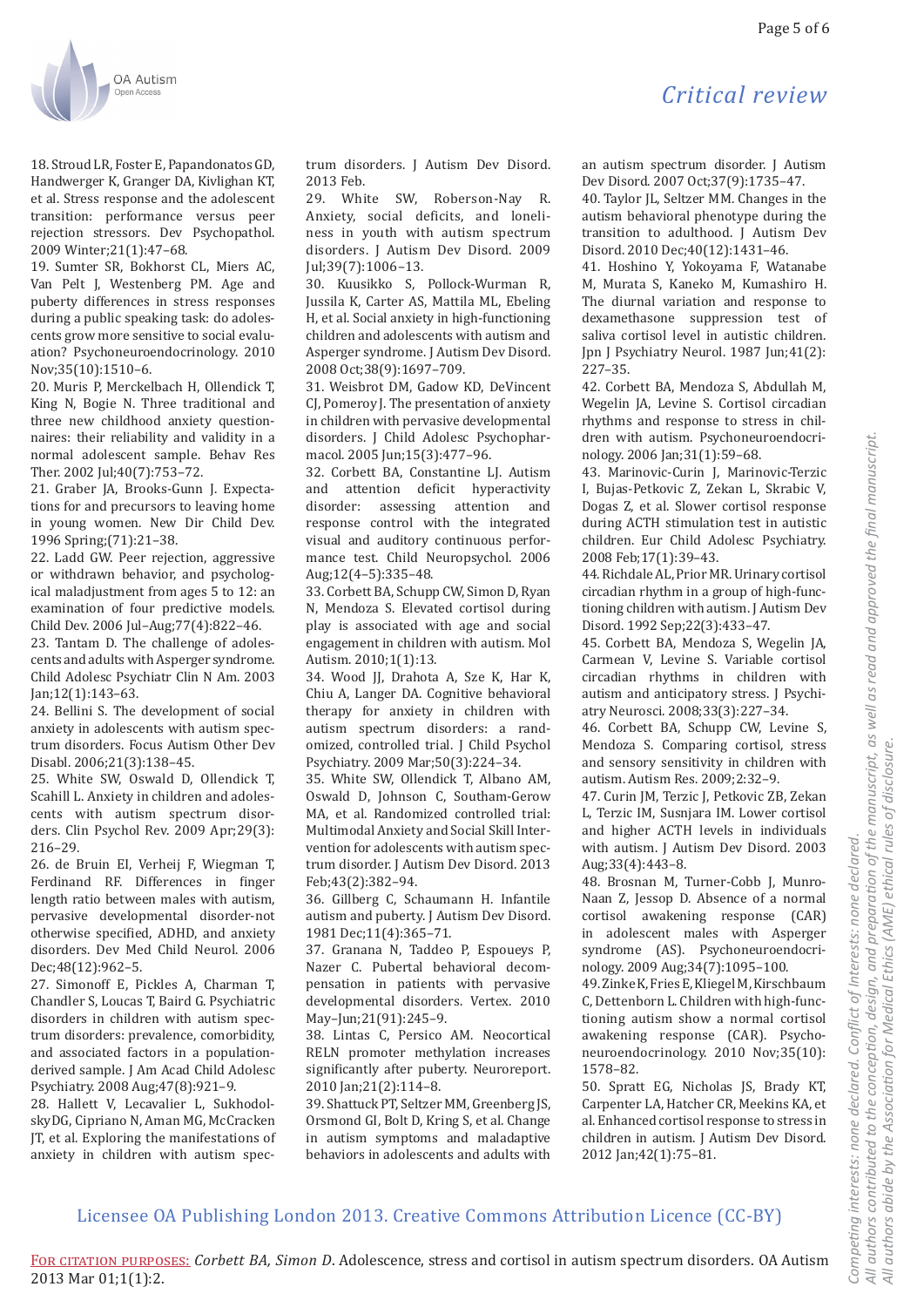### Page 5 of 6



18. Stroud LR. Foster E. Papandonatos GD. Handwerger K, Granger DA, Kivlighan KT, et al. Stress response and the adolescent transition: performance versus peer rejection stressors. Dev Psychopathol. 2009 Winter; 21(1): 47-68.

19. Sumter SR, Bokhorst CL, Miers AC, Van Pelt J, Westenberg PM. Age and puberty differences in stress responses during a public speaking task: do adolescents grow more sensitive to social evaluation? Psychoneuroendocrinology. 2010 Nov;  $35(10):1510-6$ .

20. Muris P, Merckelbach H, Ollendick T, King N, Bogie N. Three traditional and three new childhood anxiety questionnaires: their reliability and validity in a normal adolescent sample. Behav Res Ther. 2002 Jul;40(7):753-72.

21. Graber JA, Brooks-Gunn J. Expectations for and precursors to leaving home in young women. New Dir Child Dev. 1996 Spring: (71): 21-38.

22. Ladd GW. Peer rejection, aggressive or withdrawn behavior, and psychological maladjustment from ages 5 to 12: an examination of four predictive models. Child Dev. 2006 Jul-Aug; 77(4): 822-46.

23. Tantam D. The challenge of adolescents and adults with Asperger syndrome. Child Adolesc Psychiatr Clin N Am. 2003  $Jan;12(1):143-63.$ 

24. Bellini S. The development of social anxiety in adolescents with autism spectrum disorders. Focus Autism Other Dev Disabl. 2006;21(3):138-45.

25. White SW, Oswald D, Ollendick T, Scahill L. Anxiety in children and adolescents with autism spectrum disorders. Clin Psychol Rev. 2009 Apr;29(3):  $216 - 29$ .

26. de Bruin EI, Verheij F, Wiegman T, Ferdinand RF. Differences in finger length ratio between males with autism. pervasive developmental disorder-not otherwise specified, ADHD, and anxiety disorders. Dev Med Child Neurol. 2006 Dec:48(12):962-5.

27. Simonoff E, Pickles A, Charman T, Chandler S, Loucas T, Baird G. Psychiatric disorders in children with autism spectrum disorders: prevalence, comorbidity, and associated factors in a populationderived sample. J Am Acad Child Adolesc Psychiatry. 2008 Aug; 47(8): 921-9.

28. Hallett V, Lecavalier L, SukhodolskyDG, Cipriano N, Aman MG, McCracken IT, et al. Exploring the manifestations of anxiety in children with autism spec-

trum disorders. I Autism Dev Disord. 2013 Feb.

29. White SW, Roberson-Nay R. Anxiety, social deficits, and loneliness in youth with autism spectrum disorders. J Autism Dev Disord. 2009  $Iul:39(7):1006-13.$ 

30. Kuusikko S. Pollock-Wurman R. Jussila K. Carter AS. Mattila ML. Ebeling H. et al. Social anxiety in high-functioning children and adolescents with autism and Asperger syndrome. J Autism Dev Disord. 2008 Oct;38(9):1697-709.

31. Weisbrot DM, Gadow KD, DeVincent CI, Pomeroy J. The presentation of anxiety in children with pervasive developmental disorders. J Child Adolesc Psychopharmacol. 2005 Jun;15(3):477-96.

32. Corbett BA, Constantine LJ. Autism and attention deficit hyperactivity disorder: assessing attention and response control with the integrated visual and auditory continuous performance test. Child Neuropsychol. 2006 Aug; 12(4-5): 335-48.

33. Corbett BA, Schupp CW, Simon D, Ryan N, Mendoza S. Elevated cortisol during play is associated with age and social engagement in children with autism. Mol Autism. 2010;1(1):13.

34. Wood JJ, Drahota A, Sze K, Har K, Chiu A, Langer DA. Cognitive behavioral therapy for anxiety in children with autism spectrum disorders: a randomized, controlled trial. J Child Psychol Psychiatry. 2009 Mar; 50(3): 224-34.

35. White SW, Ollendick T, Albano AM, Oswald D. Johnson C. Southam-Gerow MA, et al. Randomized controlled trial: Multimodal Anxiety and Social Skill Intervention for adolescents with autism spectrum disorder. J Autism Dev Disord. 2013 Feb;43(2):382-94.

36. Gillberg C, Schaumann H. Infantile autism and puberty. J Autism Dev Disord. 1981 Dec; 11(4): 365-71.

37. Granana N. Taddeo P. Espouevs P. Nazer C. Pubertal behavioral decompensation in patients with pervasive developmental disorders. Vertex. 2010 May-Jun;21(91):245-9.

38. Lintas C, Persico AM. Neocortical RELN promoter methylation increases significantly after puberty. Neuroreport. 2010 Jan; 21(2): 114-8.

39. Shattuck PT, Seltzer MM, Greenberg JS, Orsmond GI, Bolt D, Kring S, et al. Change in autism symptoms and maladaptive behaviors in adolescents and adults with an autism spectrum disorder. I Autism Dev Disord. 2007 Oct; 37(9): 1735-47.

Critical review

40. Taylor JL, Seltzer MM. Changes in the autism behavioral phenotype during the transition to adulthood. J Autism Dev Disord. 2010 Dec; 40(12): 1431-46.

41. Hoshino Y. Yokovama F. Watanabe M, Murata S, Kaneko M, Kumashiro H. The diurnal variation and response to dexamethasone suppression test of saliva cortisol level in autistic children. Ipn J Psychiatry Neurol. 1987 Jun;41(2):  $227 - 35$ 

42. Corbett BA, Mendoza S, Abdullah M, Wegelin JA, Levine S. Cortisol circadian rhythms and response to stress in children with autism. Psychoneuroendocrinology. 2006 Jan;31(1):59-68.

43. Marinovic-Curin J, Marinovic-Terzic I, Bujas-Petkovic Z, Zekan L, Skrabic V, Dogas Z, et al. Slower cortisol response during ACTH stimulation test in autistic children. Eur Child Adolesc Psychiatry. 2008 Feb;17(1):39-43.

44. Richdale AL, Prior MR. Urinary cortisol circadian rhythm in a group of high-functioning children with autism. J Autism Dev Disord. 1992 Sep; 22(3): 433-47.

45. Corbett BA, Mendoza S, Wegelin JA, Carmean V, Levine S. Variable cortisol circadian rhythms in children with autism and anticipatory stress. J Psychiatry Neurosci. 2008;33(3):227-34.

46. Corbett BA, Schupp CW, Levine S, Mendoza S. Comparing cortisol, stress and sensory sensitivity in children with autism. Autism Res. 2009;2:32-9.

47. Curin JM. Terzic J. Petkovic ZB. Zekan L. Terzic IM, Susnjara IM. Lower cortisol and higher ACTH levels in individuals with autism. J Autism Dev Disord. 2003 Aug; 33(4): 443-8.

48. Brosnan M, Turner-Cobb J, Munro-Naan Z, Jessop D. Absence of a normal cortisol awakening response (CAR) in adolescent males with Asperger syndrome (AS). Psychoneuroendocrinology. 2009 Aug; 34(7): 1095-100.

49. Zinke K, Fries E, Kliegel M, Kirschbaum C, Dettenborn L. Children with high-functioning autism show a normal cortisol awakening response (CAR). Psychoneuroendocrinology. 2010 Nov;35(10): 1578-82.

50. Spratt EG, Nicholas JS, Brady KT, Carpenter LA, Hatcher CR, Meekins KA, et al. Enhanced cortisol response to stress in children in autism. J Autism Dev Disord. 2012 Jan; 42(1): 75-81.

FOR CITATION PURPOSES: Corbett BA, Simon D. Adolescence, stress and cortisol in autism spectrum disorders. OA Autism 2013 Mar 01;1(1):2.